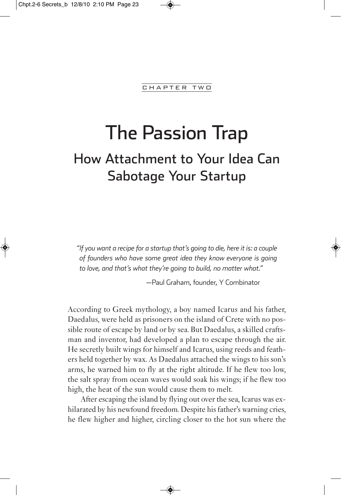CHAPTER TWO

# The Passion Trap

## How Attachment to Your Idea Can Sabotage Your Startup

*"If you want a recipe for a startup that's going to die, here it is: a couple of founders who have some great idea they know everyone is going to love, and that's what they're going to build, no matter what."*

—Paul Graham, founder, Y Combinator

According to Greek mythology, a boy named Icarus and his father, Daedalus, were held as prisoners on the island of Crete with no possible route of escape by land or by sea. But Daedalus, a skilled craftsman and inventor, had developed a plan to escape through the air. He secretly built wings for himself and Icarus, using reeds and feathers held together by wax. As Daedalus attached the wings to his son's arms, he warned him to fly at the right altitude. If he flew too low, the salt spray from ocean waves would soak his wings; if he flew too high, the heat of the sun would cause them to melt.

After escaping the island by flying out over the sea, Icarus was exhilarated by his newfound freedom. Despite his father's warning cries, he flew higher and higher, circling closer to the hot sun where the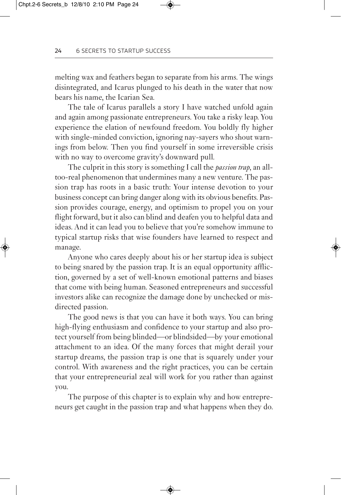melting wax and feathers began to separate from his arms. The wings disintegrated, and Icarus plunged to his death in the water that now bears his name, the Icarian Sea.

The tale of Icarus parallels a story I have watched unfold again and again among passionate entrepreneurs. You take a risky leap. You experience the elation of newfound freedom. You boldly fly higher with single-minded conviction, ignoring nay-sayers who shout warnings from below. Then you find yourself in some irreversible crisis with no way to overcome gravity's downward pull.

The culprit in this story is something I call the *passion trap*, an alltoo-real phenomenon that undermines many a new venture. The passion trap has roots in a basic truth: Your intense devotion to your business concept can bring danger along with its obvious benefits. Passion provides courage, energy, and optimism to propel you on your flight forward, but it also can blind and deafen you to helpful data and ideas. And it can lead you to believe that you're somehow immune to typical startup risks that wise founders have learned to respect and manage.

Anyone who cares deeply about his or her startup idea is subject to being snared by the passion trap. It is an equal opportunity affliction, governed by a set of well-known emotional patterns and biases that come with being human. Seasoned entrepreneurs and successful investors alike can recognize the damage done by unchecked or misdirected passion.

The good news is that you can have it both ways. You can bring high-flying enthusiasm and confidence to your startup and also protect yourself from being blinded—or blindsided—by your emotional attachment to an idea. Of the many forces that might derail your startup dreams, the passion trap is one that is squarely under your control. With awareness and the right practices, you can be certain that your entrepreneurial zeal will work for you rather than against you.

The purpose of this chapter is to explain why and how entrepreneurs get caught in the passion trap and what happens when they do.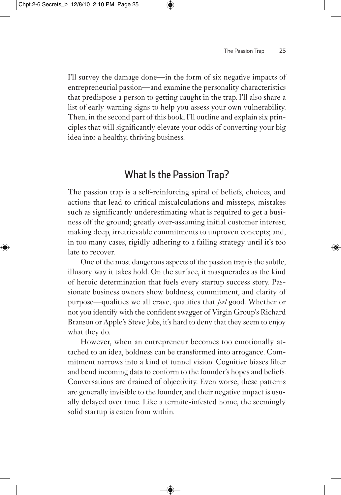I'll survey the damage done—in the form of six negative impacts of entrepreneurial passion—and examine the personality characteristics that predispose a person to getting caught in the trap. I'll also share a list of early warning signs to help you assess your own vulnerability. Then, in the second part of this book, I'll outline and explain six principles that will significantly elevate your odds of converting your big idea into a healthy, thriving business.

### What Is the Passion Trap?

The passion trap is a self-reinforcing spiral of beliefs, choices, and actions that lead to critical miscalculations and missteps, mistakes such as significantly underestimating what is required to get a business off the ground; greatly over-assuming initial customer interest; making deep, irretrievable commitments to unproven concepts; and, in too many cases, rigidly adhering to a failing strategy until it's too late to recover.

One of the most dangerous aspects of the passion trap is the subtle, illusory way it takes hold. On the surface, it masquerades as the kind of heroic determination that fuels every startup success story. Passionate business owners show boldness, commitment, and clarity of purpose—qualities we all crave, qualities that *feel* good. Whether or not you identify with the confident swagger of Virgin Group's Richard Branson or Apple's Steve Jobs, it's hard to deny that they seem to enjoy what they do.

However, when an entrepreneur becomes too emotionally attached to an idea, boldness can be transformed into arrogance. Commitment narrows into a kind of tunnel vision. Cognitive biases filter and bend incoming data to conform to the founder's hopes and beliefs. Conversations are drained of objectivity. Even worse, these patterns are generally invisible to the founder, and their negative impact is usually delayed over time. Like a termite-infested home, the seemingly solid startup is eaten from within.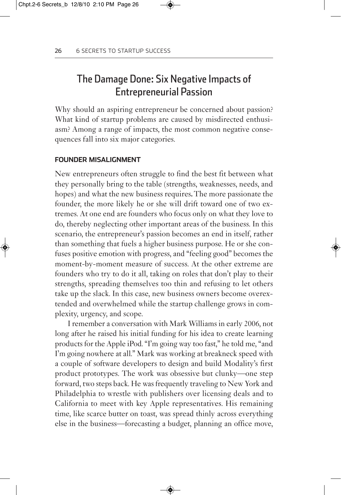### The Damage Done: Six Negative Impacts of Entrepreneurial Passion

Why should an aspiring entrepreneur be concerned about passion? What kind of startup problems are caused by misdirected enthusiasm? Among a range of impacts, the most common negative consequences fall into six major categories.

#### **FOUNDER MISALIGNMENT**

New entrepreneurs often struggle to find the best fit between what they personally bring to the table (strengths, weaknesses, needs, and hopes) and what the new business requires**.**The more passionate the founder, the more likely he or she will drift toward one of two extremes. At one end are founders who focus only on what they love to do, thereby neglecting other important areas of the business. In this scenario, the entrepreneur's passion becomes an end in itself, rather than something that fuels a higher business purpose. He or she confuses positive emotion with progress, and "feeling good" becomes the moment-by-moment measure of success. At the other extreme are founders who try to do it all, taking on roles that don't play to their strengths, spreading themselves too thin and refusing to let others take up the slack. In this case, new business owners become overextended and overwhelmed while the startup challenge grows in complexity, urgency, and scope.

I remember a conversation with Mark Williams in early 2006, not long after he raised his initial funding for his idea to create learning products for the Apple iPod."I'm going way too fast," he told me,"and I'm going nowhere at all." Mark was working at breakneck speed with a couple of software developers to design and build Modality's first product prototypes. The work was obsessive but clunky—one step forward, two steps back. He was frequently traveling to New York and Philadelphia to wrestle with publishers over licensing deals and to California to meet with key Apple representatives. His remaining time, like scarce butter on toast, was spread thinly across everything else in the business—forecasting a budget, planning an office move,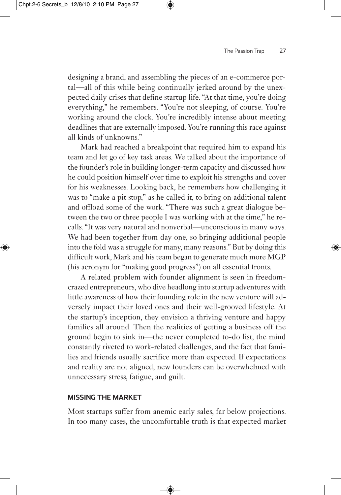designing a brand, and assembling the pieces of an e-commerce portal—all of this while being continually jerked around by the unexpected daily crises that define startup life. "At that time, you're doing everything," he remembers. "You're not sleeping, of course. You're working around the clock. You're incredibly intense about meeting deadlines that are externally imposed. You're running this race against all kinds of unknowns."

Mark had reached a breakpoint that required him to expand his team and let go of key task areas. We talked about the importance of the founder's role in building longer-term capacity and discussed how he could position himself over time to exploit his strengths and cover for his weaknesses. Looking back, he remembers how challenging it was to "make a pit stop," as he called it, to bring on additional talent and offload some of the work. "There was such a great dialogue between the two or three people I was working with at the time," he recalls. "It was very natural and nonverbal—unconscious in many ways. We had been together from day one, so bringing additional people into the fold was a struggle for many, many reasons." But by doing this difficult work, Mark and his team began to generate much more MGP (his acronym for "making good progress") on all essential fronts.

A related problem with founder alignment is seen in freedomcrazed entrepreneurs, who dive headlong into startup adventures with little awareness of how their founding role in the new venture will adversely impact their loved ones and their well-grooved lifestyle. At the startup's inception, they envision a thriving venture and happy families all around. Then the realities of getting a business off the ground begin to sink in—the never completed to-do list, the mind constantly riveted to work-related challenges, and the fact that families and friends usually sacrifice more than expected. If expectations and reality are not aligned, new founders can be overwhelmed with unnecessary stress, fatigue, and guilt.

#### **MISSING THE MARKET**

Most startups suffer from anemic early sales, far below projections. In too many cases, the uncomfortable truth is that expected market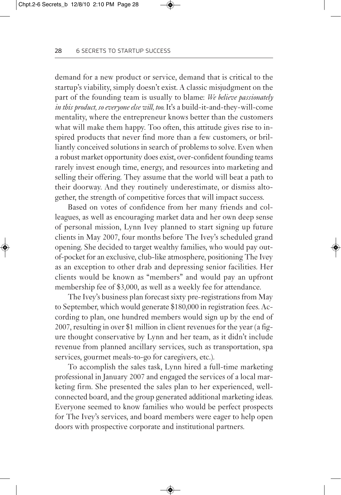demand for a new product or service, demand that is critical to the startup's viability, simply doesn't exist. A classic misjudgment on the part of the founding team is usually to blame: *We believe passionately in this product, so everyone else will, too.* It's a build-it-and-they-will-come mentality, where the entrepreneur knows better than the customers what will make them happy. Too often, this attitude gives rise to inspired products that never find more than a few customers, or brilliantly conceived solutions in search of problems to solve. Even when a robust market opportunity does exist, over-confident founding teams rarely invest enough time, energy, and resources into marketing and selling their offering. They assume that the world will beat a path to their doorway. And they routinely underestimate, or dismiss altogether, the strength of competitive forces that will impact success.

Based on votes of confidence from her many friends and colleagues, as well as encouraging market data and her own deep sense of personal mission, Lynn Ivey planned to start signing up future clients in May 2007, four months before The Ivey's scheduled grand opening. She decided to target wealthy families, who would pay outof-pocket for an exclusive, club-like atmosphere, positioning The Ivey as an exception to other drab and depressing senior facilities. Her clients would be known as "members" and would pay an upfront membership fee of \$3,000, as well as a weekly fee for attendance.

The Ivey's business plan forecast sixty pre-registrations from May to September, which would generate \$180,000 in registration fees. According to plan, one hundred members would sign up by the end of 2007, resulting in over \$1 million in client revenues for the year (a figure thought conservative by Lynn and her team, as it didn't include revenue from planned ancillary services, such as transportation, spa services, gourmet meals-to-go for caregivers, etc.).

To accomplish the sales task, Lynn hired a full-time marketing professional in January 2007 and engaged the services of a local marketing firm. She presented the sales plan to her experienced, wellconnected board, and the group generated additional marketing ideas. Everyone seemed to know families who would be perfect prospects for The Ivey's services, and board members were eager to help open doors with prospective corporate and institutional partners.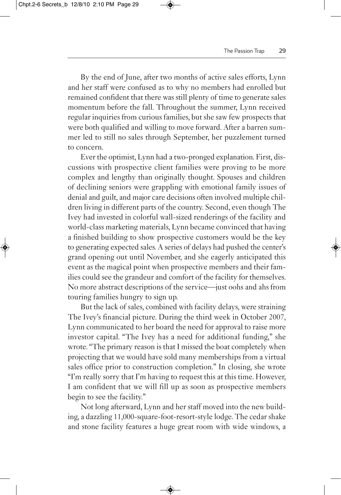Chpt.2-6 Secrets\_b 12/8/10 2:10 PM Page 29

By the end of June, after two months of active sales efforts, Lynn and her staff were confused as to why no members had enrolled but remained confident that there was still plenty of time to generate sales momentum before the fall. Throughout the summer, Lynn received regular inquiries from curious families, but she saw few prospects that were both qualified and willing to move forward. After a barren summer led to still no sales through September, her puzzlement turned to concern.

Ever the optimist, Lynn had a two-pronged explanation. First, discussions with prospective client families were proving to be more complex and lengthy than originally thought. Spouses and children of declining seniors were grappling with emotional family issues of denial and guilt, and major care decisions often involved multiple children living in different parts of the country. Second, even though The Ivey had invested in colorful wall-sized renderings of the facility and world-class marketing materials, Lynn became convinced that having a finished building to show prospective customers would be the key to generating expected sales. A series of delays had pushed the center's grand opening out until November, and she eagerly anticipated this event as the magical point when prospective members and their families could see the grandeur and comfort of the facility for themselves. No more abstract descriptions of the service—just oohs and ahs from touring families hungry to sign up.

But the lack of sales, combined with facility delays, were straining The Ivey's financial picture. During the third week in October 2007, Lynn communicated to her board the need for approval to raise more investor capital. "The Ivey has a need for additional funding," she wrote."The primary reason is that I missed the boat completely when projecting that we would have sold many memberships from a virtual sales office prior to construction completion." In closing, she wrote "I'm really sorry that I'm having to request this at this time. However, I am confident that we will fill up as soon as prospective members begin to see the facility."

Not long afterward, Lynn and her staff moved into the new building, a dazzling 11,000-square-foot-resort-style lodge. The cedar shake and stone facility features a huge great room with wide windows, a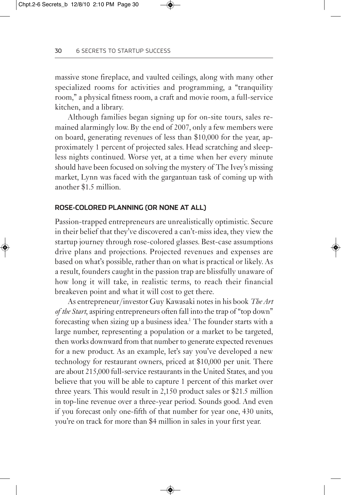massive stone fireplace, and vaulted ceilings, along with many other specialized rooms for activities and programming, a "tranquility room," a physical fitness room, a craft and movie room, a full-service kitchen, and a library.

Although families began signing up for on-site tours, sales remained alarmingly low. By the end of 2007, only a few members were on board, generating revenues of less than \$10,000 for the year, approximately 1 percent of projected sales. Head scratching and sleepless nights continued. Worse yet, at a time when her every minute should have been focused on solving the mystery of The Ivey's missing market, Lynn was faced with the gargantuan task of coming up with another \$1.5 million.

#### **ROSE-COLORED PLANNING (OR NONE AT ALL)**

Passion-trapped entrepreneurs are unrealistically optimistic. Secure in their belief that they've discovered a can't-miss idea, they view the startup journey through rose-colored glasses. Best-case assumptions drive plans and projections. Projected revenues and expenses are based on what's possible, rather than on what is practical or likely. As a result, founders caught in the passion trap are blissfully unaware of how long it will take, in realistic terms, to reach their financial breakeven point and what it will cost to get there.

As entrepreneur/investor Guy Kawasaki notes in his book *The Art of the Start*, aspiring entrepreneurs often fall into the trap of "top down" forecasting when sizing up a business idea. <sup>1</sup> The founder starts with a large number, representing a population or a market to be targeted, then works downward from that number to generate expected revenues for a new product. As an example, let's say you've developed a new technology for restaurant owners, priced at \$10,000 per unit. There are about 215,000 full-service restaurants in the United States, and you believe that you will be able to capture 1 percent of this market over three years. This would result in 2,150 product sales or \$21.5 million in top-line revenue over a three-year period. Sounds good. And even if you forecast only one-fifth of that number for year one, 430 units, you're on track for more than \$4 million in sales in your first year.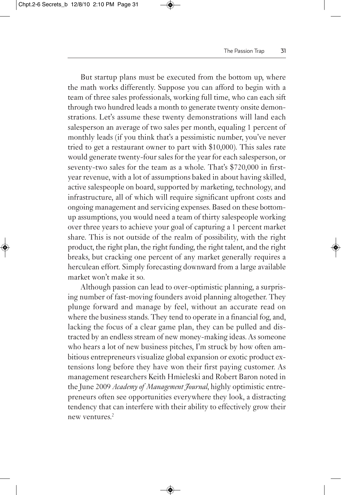Chpt.2-6 Secrets\_b 12/8/10 2:10 PM Page 31

But startup plans must be executed from the bottom up, where the math works differently. Suppose you can afford to begin with a team of three sales professionals, working full time, who can each sift through two hundred leads a month to generate twenty onsite demonstrations. Let's assume these twenty demonstrations will land each salesperson an average of two sales per month, equaling 1 percent of monthly leads (if you think that's a pessimistic number, you've never tried to get a restaurant owner to part with \$10,000). This sales rate would generate twenty-four sales for the year for each salesperson, or seventy-two sales for the team as a whole. That's \$720,000 in firstyear revenue, with a lot of assumptions baked in about having skilled, active salespeople on board, supported by marketing, technology, and infrastructure, all of which will require significant upfront costs and ongoing management and servicing expenses. Based on these bottomup assumptions, you would need a team of thirty salespeople working over three years to achieve your goal of capturing a 1 percent market share. This is not outside of the realm of possibility, with the right product, the right plan, the right funding, the right talent, and the right breaks, but cracking one percent of any market generally requires a herculean effort. Simply forecasting downward from a large available market won't make it so.

Although passion can lead to over-optimistic planning, a surprising number of fast-moving founders avoid planning altogether. They plunge forward and manage by feel, without an accurate read on where the business stands. They tend to operate in a financial fog, and, lacking the focus of a clear game plan, they can be pulled and distracted by an endless stream of new money-making ideas. As someone who hears a lot of new business pitches, I'm struck by how often ambitious entrepreneurs visualize global expansion or exotic product extensions long before they have won their first paying customer. As management researchers Keith Hmieleski and Robert Baron noted in the June 2009 *Academyof Management Journal*, highly optimistic entrepreneurs often see opportunities everywhere they look, a distracting tendency that can interfere with their ability to effectively grow their new ventures. 2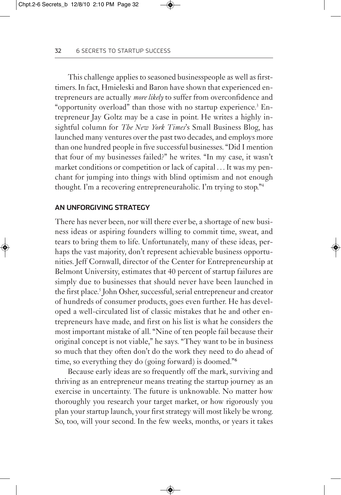This challenge applies to seasoned businesspeople as well as firsttimers. In fact, Hmieleski and Baron have shown that experienced entrepreneurs are actually *more likely* to suffer from overconfidence and "opportunity overload" than those with no startup experience. <sup>3</sup> Entrepreneur Jay Goltz may be a case in point. He writes a highly insightful column for *The New York Times*'s Small Business Blog, has launched many ventures over the past two decades, and employs more than one hundred people in five successful businesses."Did I mention that four of my businesses failed?" he writes. "In my case, it wasn't market conditions or competition or lack of capital . . . It was my penchant for jumping into things with blind optimism and not enough thought. I'm a recovering entrepreneuraholic. I'm trying to stop."4

#### **AN UNFORGIVING STRATEGY**

There has never been, nor will there ever be, a shortage of new business ideas or aspiring founders willing to commit time, sweat, and tears to bring them to life. Unfortunately, many of these ideas, perhaps the vast majority, don't represent achievable business opportunities. Jeff Cornwall, director of the Center for Entrepreneurship at Belmont University, estimates that 40 percent of startup failures are simply due to businesses that should never have been launched in the first place. <sup>5</sup> John Osher, successful, serial entrepreneur and creator of hundreds of consumer products, goes even further. He has developed a well-circulated list of classic mistakes that he and other entrepreneurs have made, and first on his list is what he considers the most important mistake of all. "Nine of ten people fail because their original concept is not viable," he says. "They want to be in business so much that they often don't do the work they need to do ahead of time, so everything they do (going forward) is doomed."**<sup>6</sup>**

Because early ideas are so frequently off the mark, surviving and thriving as an entrepreneur means treating the startup journey as an exercise in uncertainty. The future is unknowable. No matter how thoroughly you research your target market, or how rigorously you plan your startup launch, your first strategy will most likely be wrong. So, too, will your second. In the few weeks, months, or years it takes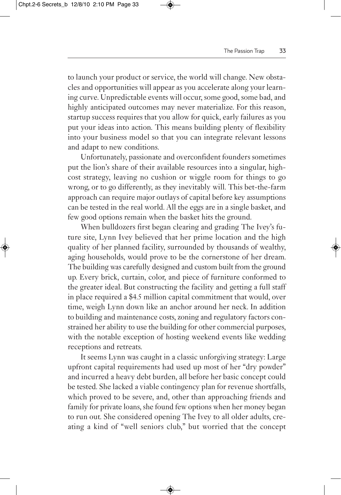Chpt.2-6 Secrets\_b 12/8/10 2:10 PM Page 33

to launch your product or service, the world will change. New obstacles and opportunities will appear as you accelerate along your learning curve. Unpredictable events will occur, some good, some bad, and highly anticipated outcomes may never materialize. For this reason, startup success requires that you allow for quick, early failures as you put your ideas into action. This means building plenty of flexibility into your business model so that you can integrate relevant lessons and adapt to new conditions.

Unfortunately, passionate and overconfident founders sometimes put the lion's share of their available resources into a singular, highcost strategy, leaving no cushion or wiggle room for things to go wrong, or to go differently, as they inevitably will. This bet-the-farm approach can require major outlays of capital before key assumptions can be tested in the real world. All the eggs are in a single basket, and few good options remain when the basket hits the ground.

When bulldozers first began clearing and grading The Ivey's future site, Lynn Ivey believed that her prime location and the high quality of her planned facility, surrounded by thousands of wealthy, aging households, would prove to be the cornerstone of her dream. The building was carefully designed and custom built from the ground up. Every brick, curtain, color, and piece of furniture conformed to the greater ideal. But constructing the facility and getting a full staff in place required a \$4.5 million capital commitment that would, over time, weigh Lynn down like an anchor around her neck. In addition to building and maintenance costs, zoning and regulatory factors constrained her ability to use the building for other commercial purposes, with the notable exception of hosting weekend events like wedding receptions and retreats.

It seems Lynn was caught in a classic unforgiving strategy: Large upfront capital requirements had used up most of her "dry powder" and incurred a heavy debt burden, all before her basic concept could be tested. She lacked a viable contingency plan for revenue shortfalls, which proved to be severe, and, other than approaching friends and family for private loans, she found few options when her money began to run out. She considered opening The Ivey to all older adults, creating a kind of "well seniors club," but worried that the concept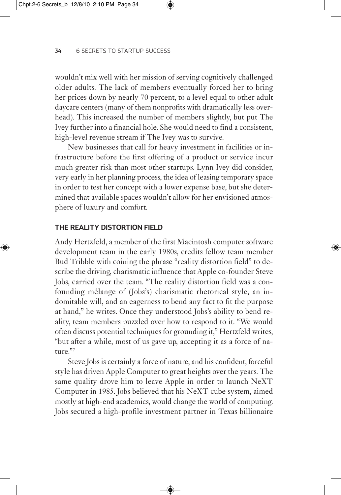wouldn't mix well with her mission of serving cognitively challenged older adults. The lack of members eventually forced her to bring her prices down by nearly 70 percent, to a level equal to other adult daycare centers (many of them nonprofits with dramatically less overhead). This increased the number of members slightly, but put The Ivey further into a financial hole. She would need to find a consistent, high-level revenue stream if The Ivey was to survive.

New businesses that call for heavy investment in facilities or infrastructure before the first offering of a product or service incur much greater risk than most other startups. Lynn Ivey did consider, very early in her planning process, the idea of leasing temporary space in order to test her concept with a lower expense base, but she determined that available spaces wouldn't allow for her envisioned atmosphere of luxury and comfort.

#### **THE REALITY DISTORTION FIELD**

Andy Hertzfeld, a member of the first Macintosh computer software development team in the early 1980s, credits fellow team member Bud Tribble with coining the phrase "reality distortion field" to describe the driving, charismatic influence that Apple co-founder Steve Jobs, carried over the team. "The reality distortion field was a confounding mélange of (Jobs's) charismatic rhetorical style, an indomitable will, and an eagerness to bend any fact to fit the purpose at hand," he writes. Once they understood Jobs's ability to bend reality, team members puzzled over how to respond to it. "We would often discuss potential techniques for grounding it," Hertzfeld writes, "but after a while, most of us gave up, accepting it as a force of nature."7

Steve Jobs is certainly a force of nature, and his confident, forceful style has driven Apple Computer to great heights over the years. The same quality drove him to leave Apple in order to launch NeXT Computer in 1985. Jobs believed that his NeXT cube system, aimed mostly at high-end academics, would change the world of computing. Jobs secured a high-profile investment partner in Texas billionaire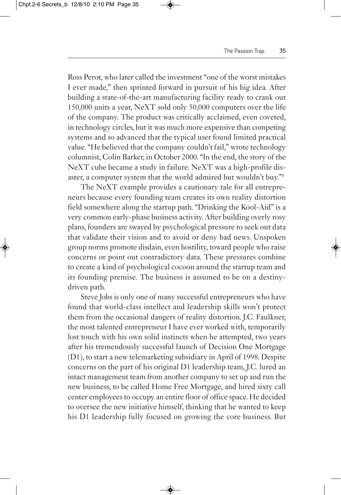Chpt.2-6 Secrets\_b 12/8/10 2:10 PM Page 35

Ross Perot, who later called the investment"one of the worst mistakes I ever made," then sprinted forward in pursuit of his big idea. After building a state-of-the-art manufacturing facility ready to crank out 150,000 units a year, NeXT sold only 50,000 computers over the life of the company. The product was critically acclaimed, even coveted, in technology circles, but it was much more expensive than competing systems and so advanced that the typical user found limited practical value."He believed that the company couldn't fail," wrote technology columnist, Colin Barker, in October 2000. "In the end, the story of the NeXT cube became a study in failure. NeXT was a high-profile disaster, a computer system that the world admired but wouldn't buy."8

The NeXT example provides a cautionary tale for all entrepreneurs because every founding team creates its own reality distortion field somewhere along the startup path. "Drinking the Kool-Aid" is a very common early-phase business activity. After building overly rosy plans, founders are swayed by psychological pressure to seek out data that validate their vision and to avoid or deny bad news. Unspoken group norms promote disdain, even hostility, toward people who raise concerns or point out contradictory data. These pressures combine to create a kind of psychological cocoon around the startup team and its founding premise. The business is assumed to be on a destinydriven path.

Steve Jobs is only one of many successful entrepreneurs who have found that world-class intellect and leadership skills won't protect them from the occasional dangers of reality distortion. J.C. Faulkner, the most talented entrepreneur I have ever worked with, temporarily lost touch with his own solid instincts when he attempted, two years after his tremendously successful launch of Decision One Mortgage (D1), to start a new telemarketing subsidiary in April of 1998. Despite concerns on the part of his original D1 leadership team, J.C. lured an intact management team from another company to set up and run the new business, to be called Home Free Mortgage, and hired sixty call center employees to occupy an entire floor of office space. He decided to oversee the new initiative himself, thinking that he wanted to keep his D1 leadership fully focused on growing the core business. But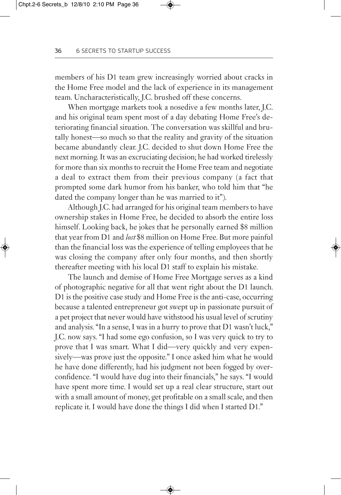members of his D1 team grew increasingly worried about cracks in the Home Free model and the lack of experience in its management team. Uncharacteristically, J.C. brushed off these concerns.

When mortgage markets took a nosedive a few months later, J.C. and his original team spent most of a day debating Home Free's deteriorating financial situation. The conversation was skillful and brutally honest—so much so that the reality and gravity of the situation became abundantly clear. J.C. decided to shut down Home Free the next morning. It was an excruciating decision; he had worked tirelessly for more than six months to recruit the Home Free team and negotiate a deal to extract them from their previous company (a fact that prompted some dark humor from his banker, who told him that "he dated the company longer than he was married to it").

Although J.C. had arranged for his original team members to have ownership stakes in Home Free, he decided to absorb the entire loss himself. Looking back, he jokes that he personally earned \$8 million that year from D1 and *lost* \$8 million on Home Free. But more painful than the financial loss was the experience of telling employees that he was closing the company after only four months, and then shortly thereafter meeting with his local D1 staff to explain his mistake.

The launch and demise of Home Free Mortgage serves as a kind of photographic negative for all that went right about the D1 launch. D1 is the positive case study and Home Free is the anti-case, occurring because a talented entrepreneur got swept up in passionate pursuit of a pet project that never would have withstood his usual level of scrutiny and analysis."In a sense, I was in a hurry to prove that D1 wasn't luck," J.C. now says. "I had some ego confusion, so I was very quick to try to prove that I was smart. What I did—very quickly and very expensively—was prove just the opposite." I once asked him what he would he have done differently, had his judgment not been fogged by overconfidence. "I would have dug into their financials," he says. "I would have spent more time. I would set up a real clear structure, start out with a small amount of money, get profitable on a small scale, and then replicate it. I would have done the things I did when I started D1."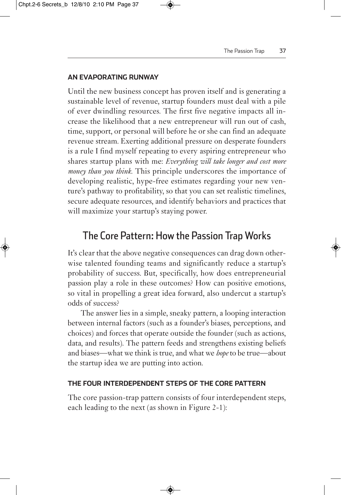#### **AN EVAPORATING RUNWAY**

Until the new business concept has proven itself and is generating a sustainable level of revenue, startup founders must deal with a pile of ever dwindling resources. The first five negative impacts all increase the likelihood that a new entrepreneur will run out of cash, time, support, or personal will before he or she can find an adequate revenue stream. Exerting additional pressure on desperate founders is a rule I find myself repeating to every aspiring entrepreneur who shares startup plans with me: *Everything will take longer and cost more money than you think*. This principle underscores the importance of developing realistic, hype-free estimates regarding your new venture's pathway to profitability, so that you can set realistic timelines, secure adequate resources, and identify behaviors and practices that will maximize your startup's staying power.

### The Core Pattern: How the Passion Trap Works

It's clear that the above negative consequences can drag down otherwise talented founding teams and significantly reduce a startup's probability of success. But, specifically, how does entrepreneurial passion play a role in these outcomes? How can positive emotions, so vital in propelling a great idea forward, also undercut a startup's odds of success?

The answer lies in a simple, sneaky pattern, a looping interaction between internal factors (such as a founder's biases, perceptions, and choices) and forces that operate outside the founder (such as actions, data, and results). The pattern feeds and strengthens existing beliefs and biases—what we think is true, and what we *hope* to be true—about the startup idea we are putting into action.

#### **THE FOUR INTERDEPENDENT STEPS OF THE CORE PATTERN**

The core passion-trap pattern consists of four interdependent steps, each leading to the next (as shown in Figure 2-1):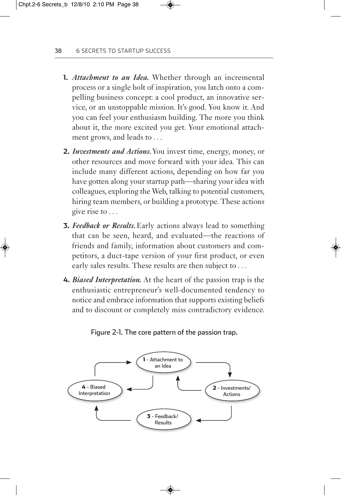

- **1.** *Attachment to an Idea***.** Whether through an incremental process or a single bolt of inspiration, you latch onto a compelling business concept: a cool product, an innovative service, or an unstoppable mission. It's good. You know it. And you can feel your enthusiasm building. The more you think about it, the more excited you get. Your emotional attachment grows, and leads to . . .
- **2.** *Investments and Actions***.**You invest time, energy, money, or other resources and move forward with your idea. This can include many different actions, depending on how far you have gotten along your startup path—sharing your idea with colleagues, exploring the Web, talking to potential customers, hiring team members, or building a prototype. These actions give rise to . . .
- **3.** *Feedback or Results***.** Early actions always lead to something that can be seen, heard, and evaluated—the reactions of friends and family, information about customers and competitors, a duct-tape version of your first product, or even early sales results. These results are then subject to ...
- **4.** *Biased Interpretation***.** At the heart of the passion trap is the enthusiastic entrepreneur's well-documented tendency to notice and embrace information that supports existing beliefs and to discount or completely miss contradictory evidence.



Figure 2-1. The core pattern of the passion trap.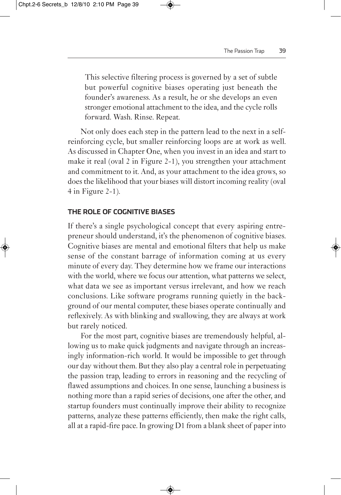This selective filtering process is governed by a set of subtle but powerful cognitive biases operating just beneath the founder's awareness. As a result, he or she develops an even stronger emotional attachment to the idea, and the cycle rolls forward. Wash. Rinse. Repeat.

Not only does each step in the pattern lead to the next in a selfreinforcing cycle, but smaller reinforcing loops are at work as well. As discussed in Chapter One, when you invest in an idea and start to make it real (oval 2 in Figure 2-1), you strengthen your attachment and commitment to it. And, as your attachment to the idea grows, so does the likelihood that your biases will distort incoming reality (oval 4 in Figure 2-1).

#### **THE ROLE OF COGNITIVE BIASES**

If there's a single psychological concept that every aspiring entrepreneur should understand, it's the phenomenon of cognitive biases. Cognitive biases are mental and emotional filters that help us make sense of the constant barrage of information coming at us every minute of every day. They determine how we frame our interactions with the world, where we focus our attention, what patterns we select, what data we see as important versus irrelevant, and how we reach conclusions. Like software programs running quietly in the background of our mental computer, these biases operate continually and reflexively. As with blinking and swallowing, they are always at work but rarely noticed.

For the most part, cognitive biases are tremendously helpful, allowing us to make quick judgments and navigate through an increasingly information-rich world. It would be impossible to get through our day without them. But they also play a central role in perpetuating the passion trap, leading to errors in reasoning and the recycling of flawed assumptions and choices. In one sense, launching a business is nothing more than a rapid series of decisions, one after the other, and startup founders must continually improve their ability to recognize patterns, analyze these patterns efficiently, then make the right calls, all at a rapid-fire pace. In growing D1 from a blank sheet of paper into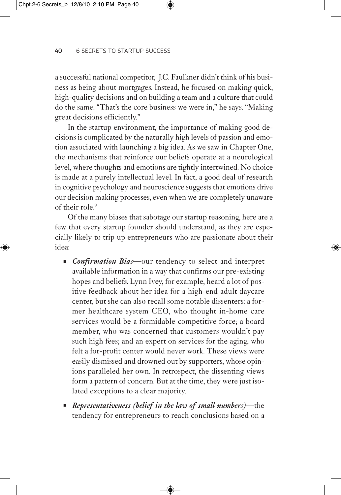a successful national competitor, J.C. Faulkner didn't think of his business as being about mortgages. Instead, he focused on making quick, high-quality decisions and on building a team and a culture that could do the same. "That's the core business we were in," he says. "Making great decisions efficiently."

In the startup environment, the importance of making good decisions is complicated by the naturally high levels of passion and emotion associated with launching a big idea. As we saw in Chapter One, the mechanisms that reinforce our beliefs operate at a neurological level, where thoughts and emotions are tightly intertwined. No choice is made at a purely intellectual level. In fact, a good deal of research in cognitive psychology and neuroscience suggests that emotions drive our decision making processes, even when we are completely unaware of their role. 9

Of the many biases that sabotage our startup reasoning, here are a few that every startup founder should understand, as they are especially likely to trip up entrepreneurs who are passionate about their idea:

- 9 *Confirmation Bias*—our tendency to select and interpret available information in a way that confirms our pre-existing hopes and beliefs. Lynn Ivey, for example, heard a lot of positive feedback about her idea for a high-end adult daycare center, but she can also recall some notable dissenters: a former healthcare system CEO, who thought in-home care services would be a formidable competitive force; a board member, who was concerned that customers wouldn't pay such high fees; and an expert on services for the aging, who felt a for-profit center would never work. These views were easily dismissed and drowned out by supporters, whose opinions paralleled her own. In retrospect, the dissenting views form a pattern of concern. But at the time, they were just isolated exceptions to a clear majority.
- 9 *Representativeness (belief in the law of small numbers)*—the tendency for entrepreneurs to reach conclusions based on a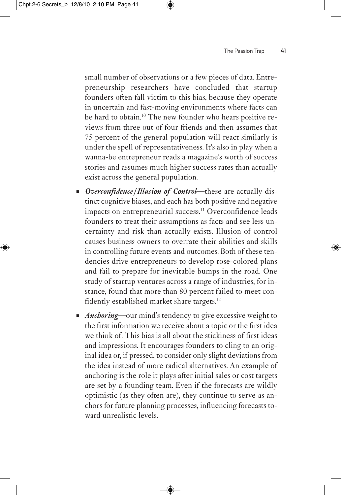small number of observations or a few pieces of data. Entrepreneurship researchers have concluded that startup founders often fall victim to this bias, because they operate in uncertain and fast-moving environments where facts can be hard to obtain. <sup>10</sup> The new founder who hears positive reviews from three out of four friends and then assumes that 75 percent of the general population will react similarly is under the spell of representativeness. It's also in play when a wanna-be entrepreneur reads a magazine's worth of success stories and assumes much higher success rates than actually exist across the general population.

Chpt.2-6 Secrets\_b 12/8/10 2:10 PM Page 41

- 9 *Overconfidence/Illusion of Control*—these are actually distinct cognitive biases, and each has both positive and negative impacts on entrepreneurial success. <sup>11</sup> Overconfidence leads founders to treat their assumptions as facts and see less uncertainty and risk than actually exists. Illusion of control causes business owners to overrate their abilities and skills in controlling future events and outcomes. Both of these tendencies drive entrepreneurs to develop rose-colored plans and fail to prepare for inevitable bumps in the road. One study of startup ventures across a range of industries, for instance, found that more than 80 percent failed to meet confidently established market share targets.<sup>12</sup>
- *Anchoring*—our mind's tendency to give excessive weight to the first information we receive about a topic or the first idea we think of. This bias is all about the stickiness of first ideas and impressions. It encourages founders to cling to an original idea or, if pressed, to consider only slight deviations from the idea instead of more radical alternatives. An example of anchoring is the role it plays after initial sales or cost targets are set by a founding team. Even if the forecasts are wildly optimistic (as they often are), they continue to serve as anchors for future planning processes, influencing forecasts toward unrealistic levels.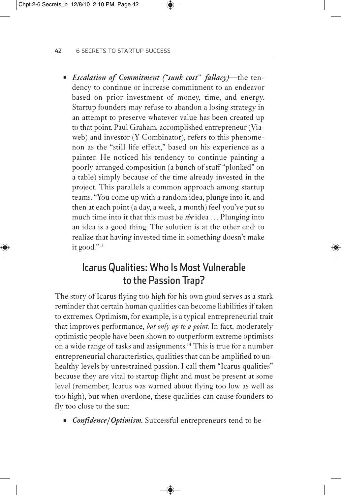9 *Escalation of Commitment ("sunk cost" fallacy)*—the tendency to continue or increase commitment to an endeavor based on prior investment of money, time, and energy. Startup founders may refuse to abandon a losing strategy in an attempt to preserve whatever value has been created up to that point. Paul Graham, accomplished entrepreneur (Viaweb) and investor (Y Combinator), refers to this phenomenon as the "still life effect," based on his experience as a painter. He noticed his tendency to continue painting a poorly arranged composition (a bunch of stuff "plonked" on a table) simply because of the time already invested in the project. This parallels a common approach among startup teams. "You come up with a random idea, plunge into it, and then at each point (a day, a week, a month) feel you've put so much time into it that this must be *the* idea . . . Plunging into an idea is a good thing. The solution is at the other end: to realize that having invested time in something doesn't make it good."13

### Icarus Qualities: Who Is Most Vulnerable to the Passion Trap?

The story of Icarus flying too high for his own good serves as a stark reminder that certain human qualities can become liabilities if taken to extremes. Optimism, for example, is a typical entrepreneurial trait that improves performance, *but only up to a point*. In fact, moderately optimistic people have been shown to outperform extreme optimists on a wide range of tasks and assignments. <sup>14</sup> This is true for a number entrepreneurial characteristics, qualities that can be amplified to unhealthy levels by unrestrained passion. I call them "Icarus qualities" because they are vital to startup flight and must be present at some level (remember, Icarus was warned about flying too low as well as too high), but when overdone, these qualities can cause founders to fly too close to the sun:

■ *Confidence/Optimism.* Successful entrepreneurs tend to be-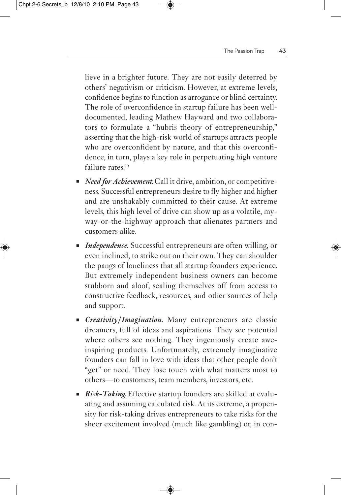lieve in a brighter future. They are not easily deterred by others' negativism or criticism. However, at extreme levels, confidence begins to function as arrogance or blind certainty. The role of overconfidence in startup failure has been welldocumented, leading Mathew Hayward and two collaborators to formulate a "hubris theory of entrepreneurship," asserting that the high-risk world of startups attracts people who are overconfident by nature, and that this overconfidence, in turn, plays a key role in perpetuating high venture failure rates.<sup>15</sup>

- *Need for Achievement*. Call it drive, ambition, or competitiveness. Successful entrepreneurs desire to fly higher and higher and are unshakably committed to their cause. At extreme levels, this high level of drive can show up as a volatile, myway-or-the-highway approach that alienates partners and customers alike.
- *Independence.* Successful entrepreneurs are often willing, or even inclined, to strike out on their own. They can shoulder the pangs of loneliness that all startup founders experience. But extremely independent business owners can become stubborn and aloof, sealing themselves off from access to constructive feedback, resources, and other sources of help and support.
- **Creativity/Imagination.** Many entrepreneurs are classic dreamers, full of ideas and aspirations. They see potential where others see nothing. They ingeniously create aweinspiring products. Unfortunately, extremely imaginative founders can fall in love with ideas that other people don't "get" or need. They lose touch with what matters most to others—to customers, team members, investors, etc.
- **Risk-Taking.** Effective startup founders are skilled at evaluating and assuming calculated risk. At its extreme, a propensity for risk-taking drives entrepreneurs to take risks for the sheer excitement involved (much like gambling) or, in con-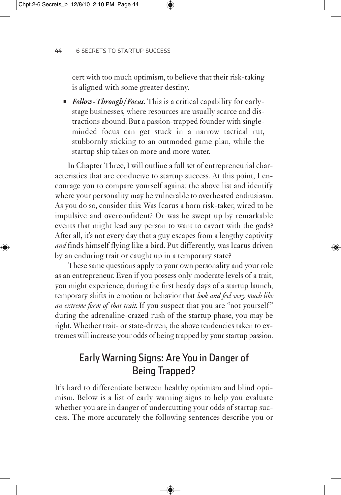cert with too much optimism, to believe that their risk-taking is aligned with some greater destiny.

9 *Follow-Through/Focus.* This is a critical capability for earlystage businesses, where resources are usually scarce and distractions abound. But a passion-trapped founder with singleminded focus can get stuck in a narrow tactical rut, stubbornly sticking to an outmoded game plan, while the startup ship takes on more and more water.

In Chapter Three, I will outline a full set of entrepreneurial characteristics that are conducive to startup success. At this point, I encourage you to compare yourself against the above list and identify where your personality may be vulnerable to overheated enthusiasm. As you do so, consider this: Was Icarus a born risk-taker, wired to be impulsive and overconfident? Or was he swept up by remarkable events that might lead any person to want to cavort with the gods? After all, it's not every day that a guy escapes from a lengthy captivity *and* finds himself flying like a bird. Put differently, was Icarus driven by an enduring trait or caught up in a temporary state?

These same questions apply to your own personality and your role as an entrepreneur. Even if you possess only moderate levels of a trait, you might experience, during the first heady days of a startup launch, temporary shifts in emotion or behavior that *look and feel very much like an extreme form of that trait.* If you suspect that you are "not yourself" during the adrenaline-crazed rush of the startup phase, you may be right. Whether trait- or state-driven, the above tendencies taken to extremes will increase your odds of being trapped by your startup passion.

### Early Warning Signs: Are You in Danger of Being Trapped?

It's hard to differentiate between healthy optimism and blind optimism. Below is a list of early warning signs to help you evaluate whether you are in danger of undercutting your odds of startup success. The more accurately the following sentences describe you or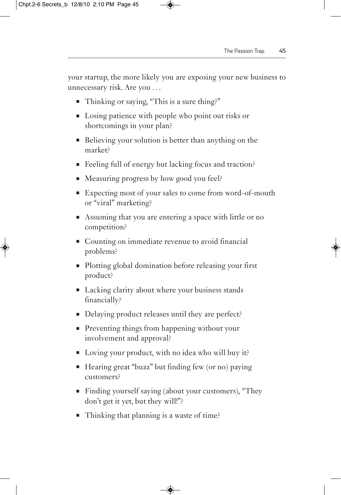your startup, the more likely you are exposing your new business to unnecessary risk. Are you . . .

- Thinking or saying, "This is a sure thing?"
- 9Losing patience with people who point out risks or shortcomings in your plan?
- Believing your solution is better than anything on the market?
- Feeling full of energy but lacking focus and traction?
- Measuring progress by how good you feel?
- Expecting most of your sales to come from word-of-mouth or "viral" marketing?
- 9Assuming that you are entering a space with little or no competition?
- Counting on immediate revenue to avoid financial problems?
- Plotting global domination before releasing your first product?
- Lacking clarity about where your business stands financially?
- Delaying product releases until they are perfect?
- **Preventing things from happening without your** involvement and approval?
- Loving your product, with no idea who will buy it?
- Hearing great "buzz" but finding few (or no) paying customers?
- 9Finding yourself saying (about your customers), "They don't get it yet, but they will!"?

◈

■ Thinking that planning is a waste of time?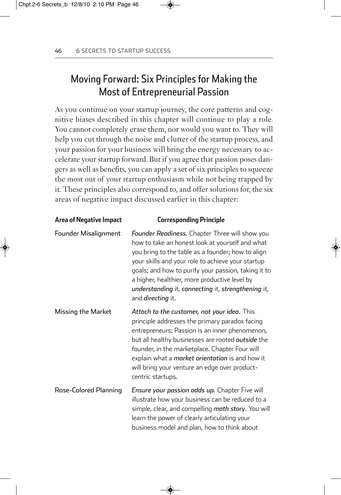### Moving Forward: Six Principles for Making the Most of Entrepreneurial Passion

As you continue on your startup journey, the core patterns and cognitive biases described in this chapter will continue to play a role. You cannot completely erase them, nor would you want to. They will help you cut through the noise and clutter of the startup process, and your passion for your business will bring the energy necessary to accelerate your startup forward. But if you agree that passion poses dangers as well as benefits, you can apply a set of six principles to squeeze the most out of your startup enthusiasm while not being trapped by it. These principles also correspond to, and offer solutions for, the six areas of negative impact discussed earlier in this chapter:

| <b>Area of Negative Impact</b> | <b>Corresponding Principle</b>                                                                                                                                                                                                                                                                                                                                                                        |
|--------------------------------|-------------------------------------------------------------------------------------------------------------------------------------------------------------------------------------------------------------------------------------------------------------------------------------------------------------------------------------------------------------------------------------------------------|
| <b>Founder Misalignment</b>    | <b>Founder Readiness.</b> Chapter Three will show you<br>how to take an honest look at yourself and what<br>you bring to the table as a founder; how to align<br>your skills and your role to achieve your startup<br>goals; and how to purify your passion, taking it to<br>a higher, healthier, more productive level by<br>understanding it, connecting it, strengthening it,<br>and directing it. |
| <b>Missing the Market</b>      | Attach to the customer, not your idea. This<br>principle addresses the primary paradox facing<br>entrepreneurs: Passion is an inner phenomenon,<br>but all healthy businesses are rooted outside the<br>founder, in the marketplace. Chapter Four will<br>explain what a market orientation is and how it<br>will bring your venture an edge over product-<br>centric startups.                       |
| <b>Rose-Colored Planning</b>   | Ensure your passion adds up. Chapter Five will<br>illustrate how your business can be reduced to a<br>simple, clear, and compelling math story. You will<br>learn the power of clearly articulating your<br>business model and plan, how to think about                                                                                                                                               |